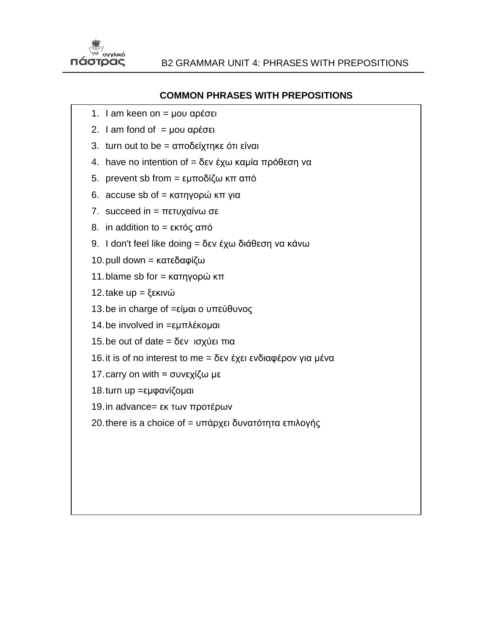

## **COMMON PHRASES WITH PREPOSITIONS**

- 1. I am keen on  $= \mu$ ου αρέσει
- 2. I am fond of  $= \mu$ ου αρέσει
- 3. turn out to be =  $\alpha \pi$ οδείχτηκε ότι είναι
- 4. have no intention of = δεν έχω καμία πρόθεση να
- 5. prevent sb from = εμποδίζω κπ από
- 6. accuse sb of = κατηγορώ κπ για
- 7. succeed in =  $\pi$ ετυχαίνω σε
- 8. in addition to = εκτός από
- 9. I don't feel like doing = δεν έχω διάθεση να κάνω

 $10$ . pull down = κατεδαφίζω

- 11. blame sb for = κατηγορώ κπ
- 12.take up = ξεκινώ
- 13.be in charge of  $=$ είμαι ο υπεύθυνος
- 14.be involved in =εμπλέκομαι
- 15.be out of date = δεν ισχύει πια
- 16. it is of no interest to me = δεν έχει ενδιαφέρον για μένα
- 17. carry on with = συνεχίζω με
- 18.turn up =εμθανίζομαι
- 19. in advance= εκ των προτέρων
- 20. there is a choice of = υπάρχει δυνατότητα επιλογής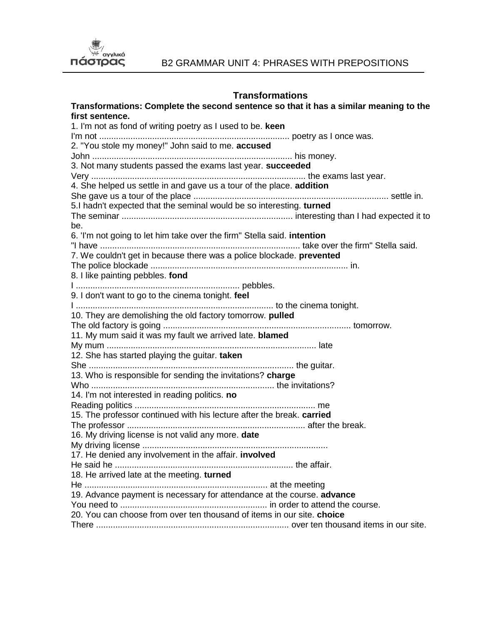

## **Transformations**

| Transformations: Complete the second sentence so that it has a similar meaning to the |
|---------------------------------------------------------------------------------------|
| first sentence.                                                                       |
| 1. I'm not as fond of writing poetry as I used to be. keen                            |
|                                                                                       |
| 2. "You stole my money!" John said to me. accused                                     |
|                                                                                       |
| 3. Not many students passed the exams last year. succeeded                            |
|                                                                                       |
| 4. She helped us settle in and gave us a tour of the place. addition                  |
|                                                                                       |
| 5.I hadn't expected that the seminal would be so interesting. turned                  |
|                                                                                       |
| be.                                                                                   |
| 6. I'm not going to let him take over the firm" Stella said. intention                |
|                                                                                       |
| 7. We couldn't get in because there was a police blockade. prevented                  |
|                                                                                       |
| 8. I like painting pebbles. fond                                                      |
| 9. I don't want to go to the cinema tonight. feel                                     |
|                                                                                       |
| 10. They are demolishing the old factory tomorrow. pulled                             |
|                                                                                       |
| 11. My mum said it was my fault we arrived late. blamed                               |
|                                                                                       |
| 12. She has started playing the guitar. taken                                         |
|                                                                                       |
| 13. Who is responsible for sending the invitations? charge                            |
|                                                                                       |
| 14. I'm not interested in reading politics. no                                        |
|                                                                                       |
| 15. The professor continued with his lecture after the break. carried                 |
|                                                                                       |
| 16. My driving license is not valid any more. date                                    |
|                                                                                       |
| 17. He denied any involvement in the affair. involved                                 |
|                                                                                       |
| 18. He arrived late at the meeting. turned                                            |
|                                                                                       |
| 19. Advance payment is necessary for attendance at the course. advance                |
|                                                                                       |
| 20. You can choose from over ten thousand of items in our site. choice                |
|                                                                                       |